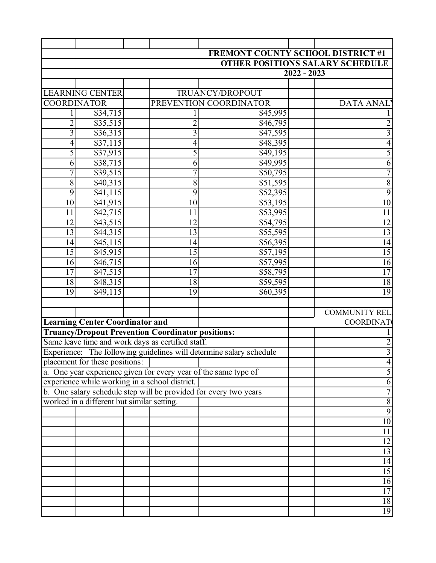|                    |                                            |                        |                                                          |                                                                     | <b>FREMONT COUNTY SCHOOL DISTRICT #1</b> |
|--------------------|--------------------------------------------|------------------------|----------------------------------------------------------|---------------------------------------------------------------------|------------------------------------------|
|                    |                                            |                        |                                                          |                                                                     | <b>OTHER POSITIONS SALARY SCHEDULE</b>   |
|                    |                                            |                        |                                                          |                                                                     | $2022 - 2023$                            |
|                    |                                            |                        |                                                          |                                                                     |                                          |
|                    | <b>LEARNING CENTER</b>                     |                        |                                                          | TRUANCY/DROPOUT                                                     |                                          |
| <b>COORDINATOR</b> |                                            | PREVENTION COORDINATOR |                                                          | <b>DATA ANAL</b>                                                    |                                          |
| 1                  | \$34,715                                   |                        | 1                                                        | \$45,995                                                            |                                          |
| $\overline{c}$     | \$35,515                                   |                        | $\overline{c}$                                           | \$46,795                                                            | $\overline{c}$                           |
| $\overline{3}$     | \$36,315                                   |                        | $\overline{3}$                                           | \$47,595                                                            | $\overline{3}$                           |
| $\overline{4}$     | \$37,115                                   |                        | $\overline{4}$                                           | \$48,395                                                            | $\overline{4}$                           |
| 5                  | \$37,915                                   |                        | $\overline{5}$                                           | \$49,195                                                            | 5                                        |
| $\overline{6}$     | \$38,715                                   |                        | $\overline{6}$                                           | \$49,995                                                            | $\overline{6}$                           |
| 7                  | \$39,515                                   |                        | $\overline{7}$                                           | \$50,795                                                            | $\overline{7}$                           |
| $\overline{8}$     | \$40,315                                   |                        | $\overline{8}$                                           | \$51,595                                                            | $\overline{8}$                           |
| $\overline{9}$     | \$41,115                                   |                        | 9                                                        | \$52,395                                                            | 9                                        |
| 10                 | \$41,915                                   |                        | 10                                                       | \$53,195                                                            | 10                                       |
| 11                 | \$42,715                                   |                        | 11                                                       | \$53,995                                                            | 11                                       |
| $\overline{12}$    | \$43,515                                   |                        | $\overline{12}$                                          | \$54,795                                                            | $\overline{12}$                          |
| 13                 | \$44,315                                   |                        | $\overline{13}$                                          | \$55,595                                                            | $\overline{13}$                          |
| 14                 | $\sqrt{45,115}$                            |                        | 14                                                       | \$56,395                                                            | 14                                       |
| $\overline{15}$    | \$45,915                                   |                        | $\overline{15}$                                          | \$57,195                                                            | $\overline{15}$                          |
| 16                 | \$46,715                                   |                        | 16                                                       | \$57,995                                                            | 16                                       |
| 17                 | \$47,515                                   |                        | 17                                                       | \$58,795                                                            | 17                                       |
| 18                 | \$48,315                                   |                        | 18                                                       | \$59,595                                                            | 18                                       |
| 19                 | \$49,115                                   |                        | 19                                                       | \$60,395                                                            | 19                                       |
|                    |                                            |                        |                                                          |                                                                     |                                          |
|                    |                                            |                        |                                                          |                                                                     | <b>COMMUNITY REL</b>                     |
|                    | <b>Learning Center Coordinator and</b>     |                        |                                                          |                                                                     | <b>COORDINAT</b>                         |
|                    |                                            |                        | <b>Truancy/Dropout Prevention Coordinator positions:</b> |                                                                     |                                          |
|                    |                                            |                        | Same leave time and work days as certified staff.        |                                                                     | $\overline{c}$                           |
|                    |                                            |                        |                                                          | Experience: The following guidelines will determine salary schedule | $\overline{3}$                           |
|                    | placement for these positions:             |                        |                                                          |                                                                     |                                          |
|                    |                                            |                        |                                                          | a. One year experience given for every year of the same type of     |                                          |
|                    |                                            |                        | experience while working in a school district.           |                                                                     | 6                                        |
|                    |                                            |                        |                                                          | b. One salary schedule step will be provided for every two years    |                                          |
|                    | worked in a different but similar setting. |                        |                                                          |                                                                     | $\sqrt{8}$                               |
|                    |                                            |                        |                                                          |                                                                     | 9                                        |
|                    |                                            |                        |                                                          |                                                                     | 10                                       |
|                    |                                            |                        |                                                          |                                                                     | 11                                       |
|                    |                                            |                        |                                                          |                                                                     | $\overline{12}$                          |
|                    |                                            |                        |                                                          |                                                                     | 13                                       |
|                    |                                            |                        |                                                          |                                                                     | $\overline{14}$                          |
|                    |                                            |                        |                                                          |                                                                     | $\overline{15}$                          |
|                    |                                            |                        |                                                          |                                                                     | 16                                       |
|                    |                                            |                        |                                                          |                                                                     | 17                                       |
|                    |                                            |                        |                                                          |                                                                     | 18                                       |
|                    |                                            |                        |                                                          |                                                                     | 19                                       |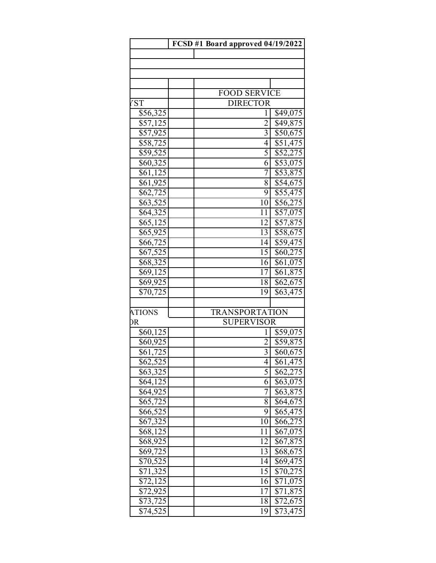|                      | FCSD #1 Board approved 04/19/2022      |                                         |
|----------------------|----------------------------------------|-----------------------------------------|
|                      |                                        |                                         |
|                      |                                        |                                         |
|                      |                                        |                                         |
|                      |                                        |                                         |
| 'ST                  | <b>FOOD SERVICE</b><br><b>DIRECTOR</b> |                                         |
| \$56,325             |                                        | \$49,075<br>1                           |
| \$57,125             |                                        | $\overline{2}$<br>\$49,875              |
| \$57,925             |                                        | $\overline{3}$<br>$\overline{$}50,675$  |
| \$58,725             |                                        | $\overline{4}$<br>\$51,475              |
| \$59,525             |                                        | 5<br>\$52,275                           |
| \$60,325             |                                        | $\overline{6}$<br>$\overline{$}53,075$  |
| \$61,125             |                                        | $\overline{7}$<br>\$53,875              |
| \$61,925             |                                        | $\overline{8}$<br>\$54,675              |
| \$62,725             |                                        | $\overline{9}$<br>\$55,475              |
| \$63,525             |                                        | \$56,275<br>$\overline{1}0$             |
| \$64,325             |                                        | 11<br>\$57,075                          |
| \$65,125             |                                        | $\overline{12}$<br>$\overline{$}57,875$ |
| \$65,925             |                                        | 13<br>\$58,675                          |
| \$66,725             |                                        | 14<br>\$59,475                          |
| \$67,525             |                                        | $\overline{15}$<br>\$60,275             |
| \$68,325             |                                        | \$61,075<br>16                          |
| \$69,125             |                                        | 17<br>\$61,875                          |
| \$69,925             |                                        | 18<br>\$62,675                          |
| \$70,725             |                                        | \$63,475<br>19                          |
| <b>ATIONS</b>        | <b>TRANSPORTATION</b>                  |                                         |
| ЭR                   | <b>SUPERVISOR</b>                      |                                         |
| \$60,125             |                                        | \$59,075<br>1                           |
| \$60,925             |                                        | $\overline{2}$<br>\$59,875              |
| \$61,725             |                                        | $\overline{3}$<br>$\overline{$60,675}$  |
| \$62,525             |                                        | \$61,475<br>4                           |
| $$63,\overline{325}$ |                                        | 5<br>\$62,275                           |
| \$64,125             |                                        | 6<br>\$63,075                           |
| \$64,925             |                                        | 7<br>\$63,875                           |
| \$65,725             |                                        | 8<br>\$64,675                           |
| \$66,525             |                                        | 9<br>\$65,475                           |
| \$67,325             |                                        | \$66,275<br>10                          |
| \$68,125             |                                        | \$67,075<br>11                          |
| \$68,925             |                                        | \$67,875<br>12                          |
| \$69,725             |                                        | \$68,675<br>13<br>\$69,475<br>14        |
| \$70,525<br>\$71,325 |                                        | $\overline{15}$<br>\$70,275             |
| $\sqrt{72,125}$      |                                        | \$71,075<br>16                          |
| \$72,925             |                                        | $\overline{17}$<br>\$71,875             |
| \$73,725             |                                        | \$72,675<br>18                          |
| \$74,525             |                                        | $\overline{$73,475}$<br>19              |
|                      |                                        |                                         |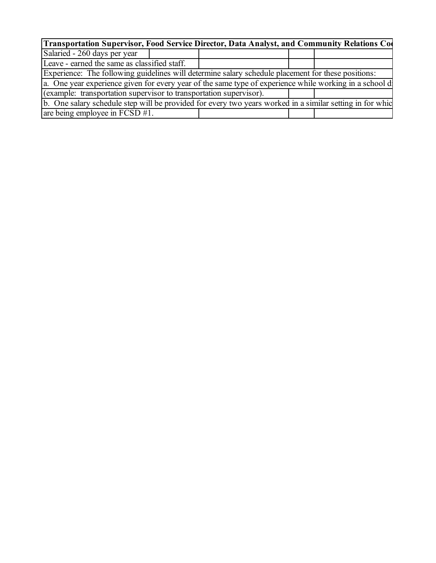| Transportation Supervisor, Food Service Director, Data Analyst, and Community Relations Co                |  |  |  |  |  |  |  |
|-----------------------------------------------------------------------------------------------------------|--|--|--|--|--|--|--|
| Salaried - 260 days per year                                                                              |  |  |  |  |  |  |  |
| Leave - earned the same as classified staff.                                                              |  |  |  |  |  |  |  |
| Experience: The following guidelines will determine salary schedule placement for these positions:        |  |  |  |  |  |  |  |
| a. One year experience given for every year of the same type of experience while working in a school d    |  |  |  |  |  |  |  |
| (example: transportation supervisor to transportation supervisor).                                        |  |  |  |  |  |  |  |
| b. One salary schedule step will be provided for every two years worked in a similar setting in for which |  |  |  |  |  |  |  |
| are being employee in $FCSD #1$ .                                                                         |  |  |  |  |  |  |  |